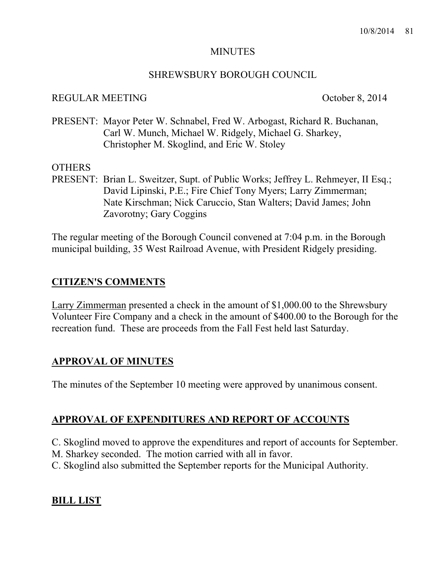#### **MINUTES**

#### SHREWSBURY BOROUGH COUNCIL

### REGULAR MEETING October 8, 2014

PRESENT: Mayor Peter W. Schnabel, Fred W. Arbogast, Richard R. Buchanan, Carl W. Munch, Michael W. Ridgely, Michael G. Sharkey, Christopher M. Skoglind, and Eric W. Stoley

## **OTHERS**

PRESENT: Brian L. Sweitzer, Supt. of Public Works; Jeffrey L. Rehmeyer, II Esq.; David Lipinski, P.E.; Fire Chief Tony Myers; Larry Zimmerman; Nate Kirschman; Nick Caruccio, Stan Walters; David James; John Zavorotny; Gary Coggins

The regular meeting of the Borough Council convened at 7:04 p.m. in the Borough municipal building, 35 West Railroad Avenue, with President Ridgely presiding.

## **CITIZEN'S COMMENTS**

Larry Zimmerman presented a check in the amount of \$1,000.00 to the Shrewsbury Volunteer Fire Company and a check in the amount of \$400.00 to the Borough for the recreation fund. These are proceeds from the Fall Fest held last Saturday.

## **APPROVAL OF MINUTES**

The minutes of the September 10 meeting were approved by unanimous consent.

# **APPROVAL OF EXPENDITURES AND REPORT OF ACCOUNTS**

C. Skoglind moved to approve the expenditures and report of accounts for September.

- M. Sharkey seconded. The motion carried with all in favor.
- C. Skoglind also submitted the September reports for the Municipal Authority.

# **BILL LIST**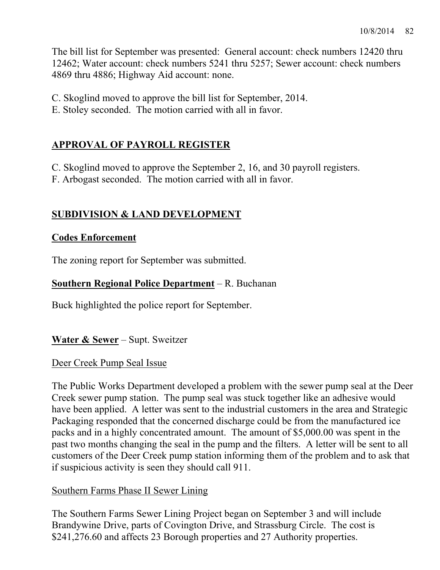The bill list for September was presented: General account: check numbers 12420 thru 12462; Water account: check numbers 5241 thru 5257; Sewer account: check numbers 4869 thru 4886; Highway Aid account: none.

C. Skoglind moved to approve the bill list for September, 2014.

E. Stoley seconded. The motion carried with all in favor.

# **APPROVAL OF PAYROLL REGISTER**

C. Skoglind moved to approve the September 2, 16, and 30 payroll registers.

F. Arbogast seconded. The motion carried with all in favor.

# **SUBDIVISION & LAND DEVELOPMENT**

## **Codes Enforcement**

The zoning report for September was submitted.

# **Southern Regional Police Department** – R. Buchanan

Buck highlighted the police report for September.

## **Water & Sewer** – Supt. Sweitzer

## Deer Creek Pump Seal Issue

The Public Works Department developed a problem with the sewer pump seal at the Deer Creek sewer pump station. The pump seal was stuck together like an adhesive would have been applied. A letter was sent to the industrial customers in the area and Strategic Packaging responded that the concerned discharge could be from the manufactured ice packs and in a highly concentrated amount. The amount of \$5,000.00 was spent in the past two months changing the seal in the pump and the filters. A letter will be sent to all customers of the Deer Creek pump station informing them of the problem and to ask that if suspicious activity is seen they should call 911.

## Southern Farms Phase II Sewer Lining

The Southern Farms Sewer Lining Project began on September 3 and will include Brandywine Drive, parts of Covington Drive, and Strassburg Circle. The cost is \$241,276.60 and affects 23 Borough properties and 27 Authority properties.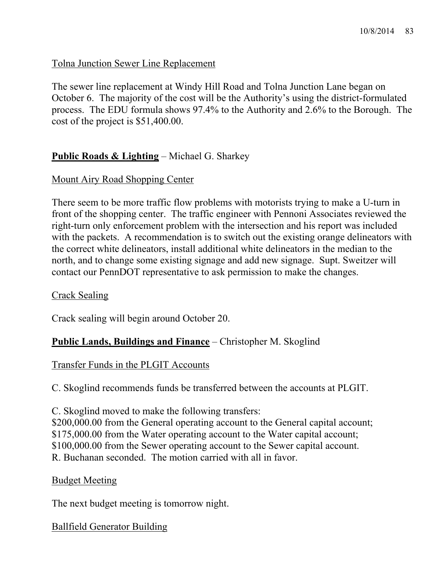## Tolna Junction Sewer Line Replacement

The sewer line replacement at Windy Hill Road and Tolna Junction Lane began on October 6. The majority of the cost will be the Authority's using the district-formulated process. The EDU formula shows 97.4% to the Authority and 2.6% to the Borough. The cost of the project is \$51,400.00.

## **Public Roads & Lighting** – Michael G. Sharkey

## Mount Airy Road Shopping Center

There seem to be more traffic flow problems with motorists trying to make a U-turn in front of the shopping center. The traffic engineer with Pennoni Associates reviewed the right-turn only enforcement problem with the intersection and his report was included with the packets. A recommendation is to switch out the existing orange delineators with the correct white delineators, install additional white delineators in the median to the north, and to change some existing signage and add new signage. Supt. Sweitzer will contact our PennDOT representative to ask permission to make the changes.

## Crack Sealing

Crack sealing will begin around October 20.

## **Public Lands, Buildings and Finance** – Christopher M. Skoglind

Transfer Funds in the PLGIT Accounts

C. Skoglind recommends funds be transferred between the accounts at PLGIT.

C. Skoglind moved to make the following transfers:

\$200,000.00 from the General operating account to the General capital account; \$175,000.00 from the Water operating account to the Water capital account; \$100,000.00 from the Sewer operating account to the Sewer capital account. R. Buchanan seconded. The motion carried with all in favor.

## Budget Meeting

The next budget meeting is tomorrow night.

## Ballfield Generator Building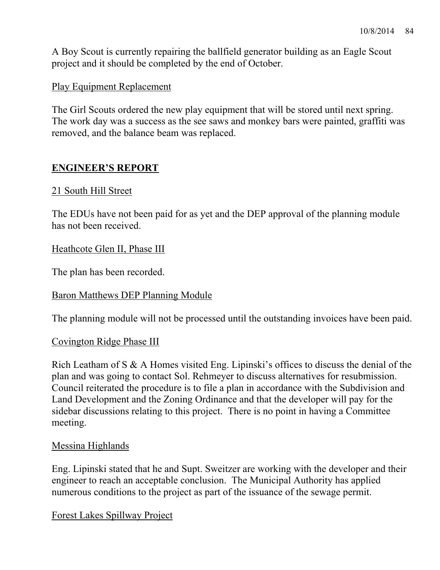A Boy Scout is currently repairing the ballfield generator building as an Eagle Scout project and it should be completed by the end of October.

## Play Equipment Replacement

The Girl Scouts ordered the new play equipment that will be stored until next spring. The work day was a success as the see saws and monkey bars were painted, graffiti was removed, and the balance beam was replaced.

## **ENGINEER'S REPORT**

## 21 South Hill Street

The EDUs have not been paid for as yet and the DEP approval of the planning module has not been received.

## Heathcote Glen II, Phase III

The plan has been recorded.

#### Baron Matthews DEP Planning Module

The planning module will not be processed until the outstanding invoices have been paid.

#### Covington Ridge Phase III

Rich Leatham of S & A Homes visited Eng. Lipinski's offices to discuss the denial of the plan and was going to contact Sol. Rehmeyer to discuss alternatives for resubmission. Council reiterated the procedure is to file a plan in accordance with the Subdivision and Land Development and the Zoning Ordinance and that the developer will pay for the sidebar discussions relating to this project. There is no point in having a Committee meeting.

#### Messina Highlands

Eng. Lipinski stated that he and Supt. Sweitzer are working with the developer and their engineer to reach an acceptable conclusion. The Municipal Authority has applied numerous conditions to the project as part of the issuance of the sewage permit.

Forest Lakes Spillway Project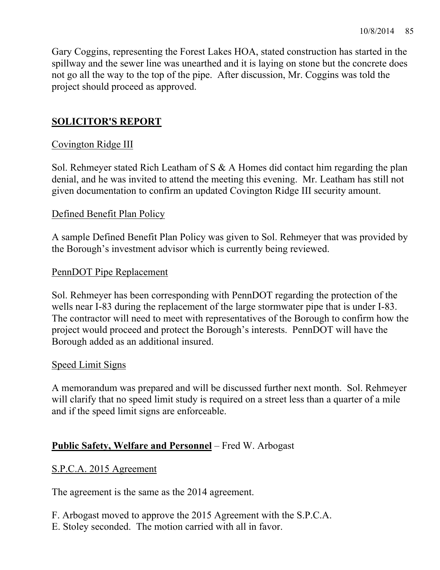Gary Coggins, representing the Forest Lakes HOA, stated construction has started in the spillway and the sewer line was unearthed and it is laying on stone but the concrete does not go all the way to the top of the pipe. After discussion, Mr. Coggins was told the project should proceed as approved.

## **SOLICITOR'S REPORT**

## Covington Ridge III

Sol. Rehmeyer stated Rich Leatham of S & A Homes did contact him regarding the plan denial, and he was invited to attend the meeting this evening. Mr. Leatham has still not given documentation to confirm an updated Covington Ridge III security amount.

#### Defined Benefit Plan Policy

A sample Defined Benefit Plan Policy was given to Sol. Rehmeyer that was provided by the Borough's investment advisor which is currently being reviewed.

#### PennDOT Pipe Replacement

Sol. Rehmeyer has been corresponding with PennDOT regarding the protection of the wells near I-83 during the replacement of the large stormwater pipe that is under I-83. The contractor will need to meet with representatives of the Borough to confirm how the project would proceed and protect the Borough's interests. PennDOT will have the Borough added as an additional insured.

#### Speed Limit Signs

A memorandum was prepared and will be discussed further next month. Sol. Rehmeyer will clarify that no speed limit study is required on a street less than a quarter of a mile and if the speed limit signs are enforceable.

## **Public Safety, Welfare and Personnel** – Fred W. Arbogast

## S.P.C.A. 2015 Agreement

The agreement is the same as the 2014 agreement.

- F. Arbogast moved to approve the 2015 Agreement with the S.P.C.A.
- E. Stoley seconded. The motion carried with all in favor.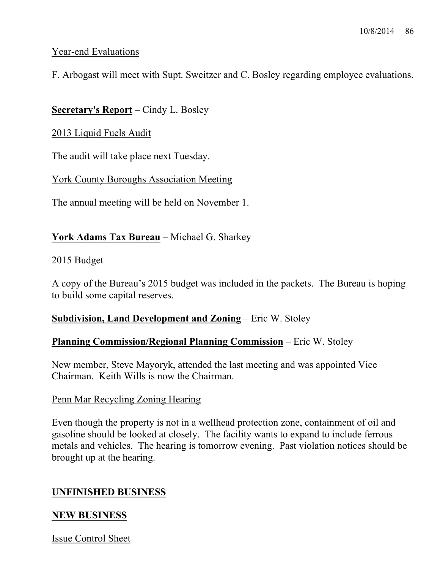## Year-end Evaluations

F. Arbogast will meet with Supt. Sweitzer and C. Bosley regarding employee evaluations.

## **Secretary's Report** – Cindy L. Bosley

2013 Liquid Fuels Audit

The audit will take place next Tuesday.

York County Boroughs Association Meeting

The annual meeting will be held on November 1.

## **York Adams Tax Bureau** – Michael G. Sharkey

#### 2015 Budget

A copy of the Bureau's 2015 budget was included in the packets. The Bureau is hoping to build some capital reserves.

## **Subdivision, Land Development and Zoning** – Eric W. Stoley

## **Planning Commission/Regional Planning Commission** – Eric W. Stoley

New member, Steve Mayoryk, attended the last meeting and was appointed Vice Chairman. Keith Wills is now the Chairman.

## Penn Mar Recycling Zoning Hearing

Even though the property is not in a wellhead protection zone, containment of oil and gasoline should be looked at closely. The facility wants to expand to include ferrous metals and vehicles. The hearing is tomorrow evening. Past violation notices should be brought up at the hearing.

## **UNFINISHED BUSINESS**

## **NEW BUSINESS**

Issue Control Sheet